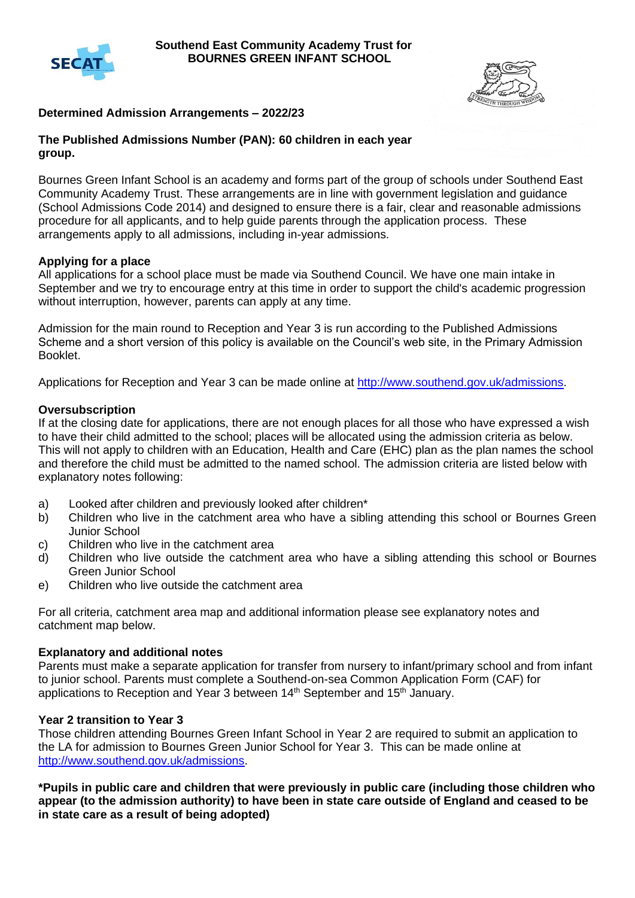



# **Determined Admission Arrangements – 2022/23**

#### **The Published Admissions Number (PAN): 60 children in each year group.**

Bournes Green Infant School is an academy and forms part of the group of schools under Southend East Community Academy Trust. These arrangements are in line with government legislation and guidance (School Admissions Code 2014) and designed to ensure there is a fair, clear and reasonable admissions procedure for all applicants, and to help guide parents through the application process. These arrangements apply to all admissions, including in-year admissions.

#### **Applying for a place**

All applications for a school place must be made via Southend Council. We have one main intake in September and we try to encourage entry at this time in order to support the child's academic progression without interruption, however, parents can apply at any time.

Admission for the main round to Reception and Year 3 is run according to the Published Admissions Scheme and a short version of this policy is available on the Council's web site, in the Primary Admission Booklet.

Applications for Reception and Year 3 can be made online at [http://www.southend.gov.uk/admissions.](http://www.southend.gov.uk/admissions)

#### **Oversubscription**

If at the closing date for applications, there are not enough places for all those who have expressed a wish to have their child admitted to the school; places will be allocated using the admission criteria as below. This will not apply to children with an Education, Health and Care (EHC) plan as the plan names the school and therefore the child must be admitted to the named school. The admission criteria are listed below with explanatory notes following:

- a) Looked after children and previously looked after children\*
- b) Children who live in the catchment area who have a sibling attending this school or Bournes Green Junior School
- c) Children who live in the catchment area
- d) Children who live outside the catchment area who have a sibling attending this school or Bournes Green Junior School
- e) Children who live outside the catchment area

For all criteria, catchment area map and additional information please see explanatory notes and catchment map below.

#### **Explanatory and additional notes**

Parents must make a separate application for transfer from nursery to infant/primary school and from infant to junior school. Parents must complete a Southend-on-sea Common Application Form (CAF) for applications to Reception and Year 3 between 14<sup>th</sup> September and 15<sup>th</sup> January.

### **Year 2 transition to Year 3**

Those children attending Bournes Green Infant School in Year 2 are required to submit an application to the LA for admission to Bournes Green Junior School for Year 3. This can be made online at [http://www.southend.gov.uk/admissions.](http://www.southend.gov.uk/admissions)

**\*Pupils in public care and children that were previously in public care (including those children who appear (to the admission authority) to have been in state care outside of England and ceased to be in state care as a result of being adopted)**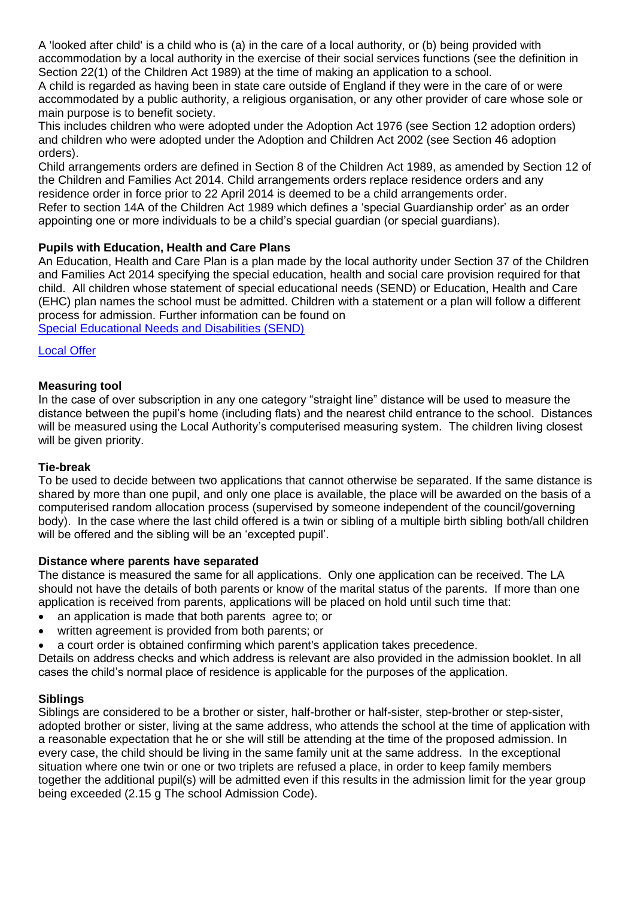A 'looked after child' is a child who is (a) in the care of a local authority, or (b) being provided with accommodation by a local authority in the exercise of their social services functions (see the definition in Section 22(1) of the Children Act 1989) at the time of making an application to a school. A child is regarded as having been in state care outside of England if they were in the care of or were

accommodated by a public authority, a religious organisation, or any other provider of care whose sole or main purpose is to benefit society.

This includes children who were adopted under the Adoption Act 1976 (see Section 12 adoption orders) and children who were adopted under the Adoption and Children Act 2002 (see Section 46 adoption orders).

Child arrangements orders are defined in Section 8 of the Children Act 1989, as amended by Section 12 of the Children and Families Act 2014. Child arrangements orders replace residence orders and any residence order in force prior to 22 April 2014 is deemed to be a child arrangements order. Refer to section 14A of the Children Act 1989 which defines a 'special Guardianship order' as an order appointing one or more individuals to be a child's special guardian (or special guardians).

# **Pupils with Education, Health and Care Plans**

An Education, Health and Care Plan is a plan made by the local authority under Section 37 of the Children and Families Act 2014 specifying the special education, health and social care provision required for that child. All children whose statement of special educational needs (SEND) or Education, Health and Care (EHC) plan names the school must be admitted. Children with a statement or a plan will follow a different process for admission. Further information can be found on [Special Educational Needs and Disabilities \(SEND\)](https://www.southend.gov.uk/children-disabilities/special-educational-needs)

### [Local Offer](https://livewellsouthend.com/kb5/southendonsea/directory/localoffer.page?localofferchannel=0)

# **Measuring tool**

In the case of over subscription in any one category "straight line" distance will be used to measure the distance between the pupil's home (including flats) and the nearest child entrance to the school. Distances will be measured using the Local Authority's computerised measuring system. The children living closest will be given priority.

### **Tie-break**

To be used to decide between two applications that cannot otherwise be separated. If the same distance is shared by more than one pupil, and only one place is available, the place will be awarded on the basis of a computerised random allocation process (supervised by someone independent of the council/governing body). In the case where the last child offered is a twin or sibling of a multiple birth sibling both/all children will be offered and the sibling will be an 'excepted pupil'.

### **Distance where parents have separated**

The distance is measured the same for all applications. Only one application can be received. The LA should not have the details of both parents or know of the marital status of the parents. If more than one application is received from parents, applications will be placed on hold until such time that:

- an application is made that both parents agree to; or
- written agreement is provided from both parents; or
- a court order is obtained confirming which parent's application takes precedence.

Details on address checks and which address is relevant are also provided in the admission booklet. In all cases the child's normal place of residence is applicable for the purposes of the application.

### **Siblings**

Siblings are considered to be a brother or sister, half-brother or half-sister, step-brother or step-sister, adopted brother or sister, living at the same address, who attends the school at the time of application with a reasonable expectation that he or she will still be attending at the time of the proposed admission. In every case, the child should be living in the same family unit at the same address. In the exceptional situation where one twin or one or two triplets are refused a place, in order to keep family members together the additional pupil(s) will be admitted even if this results in the admission limit for the year group being exceeded (2.15 g The school Admission Code).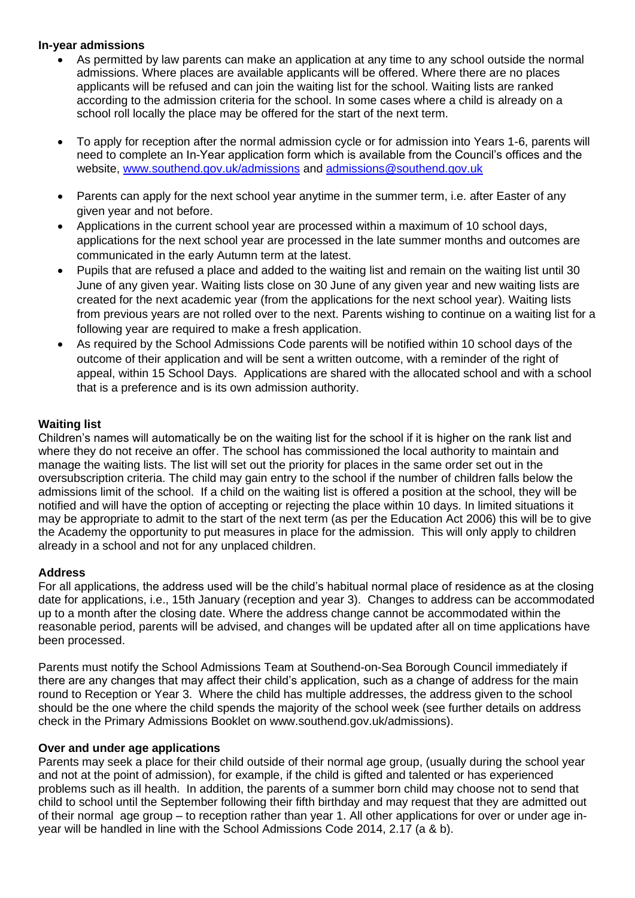### **In-year admissions**

- As permitted by law parents can make an application at any time to any school outside the normal admissions. Where places are available applicants will be offered. Where there are no places applicants will be refused and can join the waiting list for the school. Waiting lists are ranked according to the admission criteria for the school. In some cases where a child is already on a school roll locally the place may be offered for the start of the next term.
- To apply for reception after the normal admission cycle or for admission into Years 1-6, parents will need to complete an In-Year application form which is available from the Council's offices and the website, [www.southend.gov.uk/admissions](http://www.southend.gov.uk/admissions) and [admissions@southend.gov.uk](mailto:admissions@southend.gov.uk)
- Parents can apply for the next school year anytime in the summer term, i.e. after Easter of any given year and not before.
- Applications in the current school year are processed within a maximum of 10 school days, applications for the next school year are processed in the late summer months and outcomes are communicated in the early Autumn term at the latest.
- Pupils that are refused a place and added to the waiting list and remain on the waiting list until 30 June of any given year. Waiting lists close on 30 June of any given year and new waiting lists are created for the next academic year (from the applications for the next school year). Waiting lists from previous years are not rolled over to the next. Parents wishing to continue on a waiting list for a following year are required to make a fresh application.
- As required by the School Admissions Code parents will be notified within 10 school days of the outcome of their application and will be sent a written outcome, with a reminder of the right of appeal, within 15 School Days. Applications are shared with the allocated school and with a school that is a preference and is its own admission authority.

### **Waiting list**

Children's names will automatically be on the waiting list for the school if it is higher on the rank list and where they do not receive an offer. The school has commissioned the local authority to maintain and manage the waiting lists. The list will set out the priority for places in the same order set out in the oversubscription criteria. The child may gain entry to the school if the number of children falls below the admissions limit of the school. If a child on the waiting list is offered a position at the school, they will be notified and will have the option of accepting or rejecting the place within 10 days. In limited situations it may be appropriate to admit to the start of the next term (as per the Education Act 2006) this will be to give the Academy the opportunity to put measures in place for the admission. This will only apply to children already in a school and not for any unplaced children.

### **Address**

For all applications, the address used will be the child's habitual normal place of residence as at the closing date for applications, i.e., 15th January (reception and year 3). Changes to address can be accommodated up to a month after the closing date. Where the address change cannot be accommodated within the reasonable period, parents will be advised, and changes will be updated after all on time applications have been processed.

Parents must notify the School Admissions Team at Southend-on-Sea Borough Council immediately if there are any changes that may affect their child's application, such as a change of address for the main round to Reception or Year 3. Where the child has multiple addresses, the address given to the school should be the one where the child spends the majority of the school week (see further details on address check in the Primary Admissions Booklet on www.southend.gov.uk/admissions).

### **Over and under age applications**

Parents may seek a place for their child outside of their normal age group, (usually during the school year and not at the point of admission), for example, if the child is gifted and talented or has experienced problems such as ill health. In addition, the parents of a summer born child may choose not to send that child to school until the September following their fifth birthday and may request that they are admitted out of their normal age group – to reception rather than year 1. All other applications for over or under age inyear will be handled in line with the School Admissions Code 2014, 2.17 (a & b).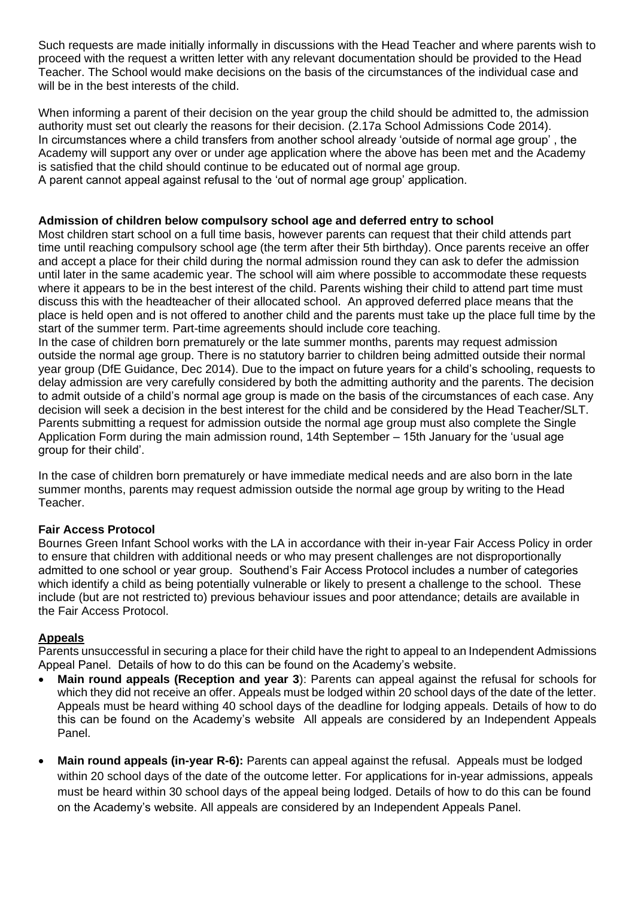Such requests are made initially informally in discussions with the Head Teacher and where parents wish to proceed with the request a written letter with any relevant documentation should be provided to the Head Teacher. The School would make decisions on the basis of the circumstances of the individual case and will be in the best interests of the child.

When informing a parent of their decision on the year group the child should be admitted to, the admission authority must set out clearly the reasons for their decision. (2.17a School Admissions Code 2014). In circumstances where a child transfers from another school already 'outside of normal age group' , the Academy will support any over or under age application where the above has been met and the Academy is satisfied that the child should continue to be educated out of normal age group. A parent cannot appeal against refusal to the 'out of normal age group' application.

### **Admission of children below compulsory school age and deferred entry to school**

Most children start school on a full time basis, however parents can request that their child attends part time until reaching compulsory school age (the term after their 5th birthday). Once parents receive an offer and accept a place for their child during the normal admission round they can ask to defer the admission until later in the same academic year. The school will aim where possible to accommodate these requests where it appears to be in the best interest of the child. Parents wishing their child to attend part time must discuss this with the headteacher of their allocated school. An approved deferred place means that the place is held open and is not offered to another child and the parents must take up the place full time by the start of the summer term. Part-time agreements should include core teaching.

In the case of children born prematurely or the late summer months, parents may request admission outside the normal age group. There is no statutory barrier to children being admitted outside their normal year group (DfE Guidance, Dec 2014). Due to the impact on future years for a child's schooling, requests to delay admission are very carefully considered by both the admitting authority and the parents. The decision to admit outside of a child's normal age group is made on the basis of the circumstances of each case. Any decision will seek a decision in the best interest for the child and be considered by the Head Teacher/SLT. Parents submitting a request for admission outside the normal age group must also complete the Single Application Form during the main admission round, 14th September – 15th January for the 'usual age group for their child'.

In the case of children born prematurely or have immediate medical needs and are also born in the late summer months, parents may request admission outside the normal age group by writing to the Head Teacher.

### **Fair Access Protocol**

Bournes Green Infant School works with the LA in accordance with their in-year Fair Access Policy in order to ensure that children with additional needs or who may present challenges are not disproportionally admitted to one school or year group. Southend's Fair Access Protocol includes a number of categories which identify a child as being potentially vulnerable or likely to present a challenge to the school. These include (but are not restricted to) previous behaviour issues and poor attendance; details are available in the Fair Access Protocol.

# **Appeals**

Parents unsuccessful in securing a place for their child have the right to appeal to an Independent Admissions Appeal Panel. Details of how to do this can be found on the Academy's website.

- **Main round appeals (Reception and year 3**): Parents can appeal against the refusal for schools for which they did not receive an offer. Appeals must be lodged within 20 school days of the date of the letter. Appeals must be heard withing 40 school days of the deadline for lodging appeals. Details of how to do this can be found on the Academy's website All appeals are considered by an Independent Appeals Panel.
- **Main round appeals (in-year R-6):** Parents can appeal against the refusal. Appeals must be lodged within 20 school days of the date of the outcome letter. For applications for in-year admissions, appeals must be heard within 30 school days of the appeal being lodged. Details of how to do this can be found on the Academy's website. All appeals are considered by an Independent Appeals Panel.